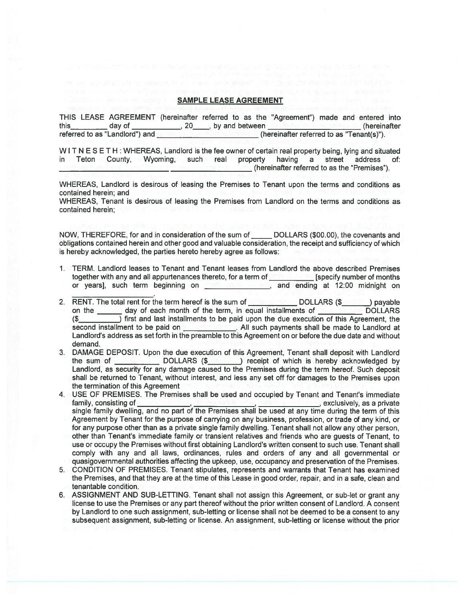## SAMPLE LEASE AGREEMENT

THIS LEASE AGREEMENT (hereinafter referred to as the "Agreement") made and entered into this\_\_\_\_\_\_\_\_\_\_ day of 20, by and between (hereinafter referred to as "Landlord") and (hereinafter referred to as "Tenant(s)').

W I T N E S E T H : WHEREAS, Landlord is the fee owner of certain real property being, lying and situated in Teton County, Wyoming, such real property having a street address of: (hereinafter referred to as the "Premises").

WHEREAS, Landlord is desirous of leasing the Premises to Tenant upon the terms and conditions as contained herein; and

WHEREAS, Tenant is desirous of leasing the Premises from Landlord on the terms and conditions as contained herein;

NOW, THEREFORE, for and in consideration of the sum of DOLLARS (\$00.00), the covenants and obligations contained herein and other good and valuable consideration, the receipt and sufficiency of which is hereby acknowledged, the parties hereto hereby agree as follows:

- 1. TERM. Landlord leases to Tenant and Tenant leases from Landlord the above described Premises together with any and all appurtenances thereto, for a term of [specify number of months or years], such term beginning on and ending at 12:00 midnight on
- 2. RENT. The total rent for the term hereof is the sum of \_\_\_\_\_\_\_\_\_\_\_\_\_DOLLARS (\$\_\_\_\_\_\_\_) payable on the <u>end of the term</u>, in equal installments of **contain the controller of the state of the controller of the controller of the controller of the controller of the control of the control of the control of the control of** (\$ ) first and last installments to be paid upon the due execution of this Agreement, the second installment to be paid on **All such payments shall be made to Landlord at** Landlord's address as set forth in the preamble to this Agreement on or before the due date and without demand.
- 3. DAMAGE DEPOSIT. Upon the due execution of this Agreement, Tenant shall deposit with Landlord the sum of \_\_\_\_\_\_\_\_\_\_\_\_\_ DOLLARS (\$\_\_\_\_\_\_\_\_) receipt of which is hereby acknowledged by Landlord, as security for any damage caused to the Premises during the term hereof. Such deposit shall be returned to Tenant, without interest, and less any set off for damages to the Premises upon the termination of this Agreement
- 4. USE OF PREMISES. The Premises shall be used and occupied by Tenant and Tenant's immediate family,consisting of exclusively, as a private single family dwelling, and no part of the Premises shall be used at any time during the term of this Agreement by Tenant for the purpose of carrying on any business, profession, or trade of any kind, or for any purpose other than as a private single family dwelling. Tenant shall not allow any other person, other than Tenant's immediate family or transient relatives and friends who are guests of Tenant, to use or occupy the Premises without first obtaining Landlord's written consent to such use. Tenant shall comply with any and all laws, ordinances, rules and orders of any and all governmental or quasigovernmental authorities affecting the upkeep, use, occupancy and preservation of the Premises.
- 5. CONDITION OF PREMISES. Tenant stipulates, represents and warrants that Tenant has examined the Premises, and that they are at the time of this Lease in good order, repair, and in a safe, clean and tenantable condition.
- 6. ASSIGNMENT AND SUB-LETTING. Tenant shall not assign this Agreement, or sub-let or grant any license to use the Premises or any part thereof without the prior written consent of Landlord. A consent by Landlord to one such assignment, sub-letting or license shall not be deemed to be a consent to any subsequent assignment, sub-letting or license. An assignment, sub-letting or license without the prior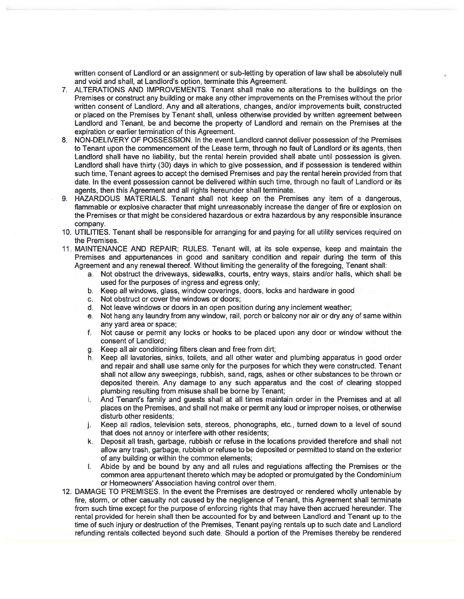written consent of Landlord or an assignment or sub-letting by operation of law shall be absolutely null and void and shall, at Landlord's option, terminate this Agreement.

- 7. ALTERATIONS AND IMPROVEMENTS. Tenant shall make no alterations to the buildings on the Premises or construct any building or make any other improvements on the Premises without the prior written consent of Landlord. Any and all alterations, changes, and/or improvements built, constructed or placed on the Premises by Tenant shall, unless otherwise provided by written agreement between Landlord and Tenant, be and become the property of Landlord and remain on the Premises at the expiration or earlier termination of this Agreement.
- 8. NON-DEUVERY OF POSSESSION. In the event Landlord cannot deliver possession of the Premises to Tenant upon the commencement of the Lease term, through no fault of Landlord or its agents, then Landlord shall have no liability, but the rental herein provided shall abate until possession is given. Landlord shall have thirty (30) days in which to give possession, and if possession is tendered within such time, Tenant agrees to accept the demised Premises and pay the rental herein provided from that date. In the event possession cannot be delivered within such time, through no fault of Landlord or its agents, then this Agreement and all rights hereunder shall terminate.
- 9. HAZARDOUS MATERIALS. Tenant shall not keep on the Premises any item of a dangerous, flammable or explosive character that might unreasonably increase the danger of fire or explosion on the Premises or that might be considered hazardous or extra hazardous by any responsible insurance company.
- 10. UTILITIES. Tenant shall be responsible for arranging for and paying for all utility services required on the Premises.
- 11. MAINTENANCE AND REPAIR; RULES. Tenant will, at its sole expense, keep and maintain the Premises and appurtenances in good and sanitary condition and repair during the term of this Agreement and any renewal thereof. Without limiting the generality of the foregoing, Tenant shall:
	- a. Not obstruct the driveways, sidewalks, courts, entry ways, stairs and/or halls, which shall be used for the purposes of ingress and egress only;
	- b. Keep all windows, glass, window coverings, doors, locks and hardware in good
	- c. Not obstruct or cover the windows or doors;
	- d. Not leave windows or doors in an open position during any inclement weather;
	- e. Not hang any laundry from any window, rail, porch or balcony nor air or dry any of same within any yard area or space;
	- f. Not cause or permit any locks or hooks to be placed upon any door or window without the consent of Landlord;
	- g. Keep all air conditioning filters clean and free from dirt;
	- h. Keep all lavatories, sinks, toilets, and all other water and plumbing apparatus in good order and repair and shall use same only for the purposes for which they were constructed. Tenant shall not allow any sweepings, rubbish, sand, rags, ashes or other substances to be thrown or deposited therein. Any damage to any such apparatus and the cost of clearing stopped plumbing resulting from misuse shall be borne by Tenant;
	- i. And Tenant's family and guests shall at all times maintain order in the Premises and at all places on the Premises, and shall not make or permit any loud or improper noises, or otherwise disturb other residents;
	- j. Keep all radios, television sets, stereos, phonographs, etc., turned down to a level of sound that does not annoy or interfere with other residents;
	- k. Deposit all trash, garbage, rubbish or refuse in the locations provided therefore and shall not allow any trash, garbage, rubbish or refuse to be deposited or permitted to stand on the exterior of any building or within the common elements;
	- I. Abide by and be bound by any and all rules and regulations affecting the Premises or the common area appurtenant thereto which may be adopted or promulgated by the Condominium or Homeowners' Association having control over them.
- 12. DAMAGE TO PREMISES. In the event the Premises are destroyed or rendered wholly untenable by fire, storm, or other casualty not caused by the negligence of Tenant, this Agreement shall terminate from such time except for the purpose of enforcing rights that may have then accrued hereunder. The rental provided for herein shall then be accounted for by and between Landlord and Tenant up to the time of such injury or destruction of the Premises, Tenant paying rentals up to such date and Landlord refunding rentals collected beyond such date. Should a portion of the Premises thereby be rendered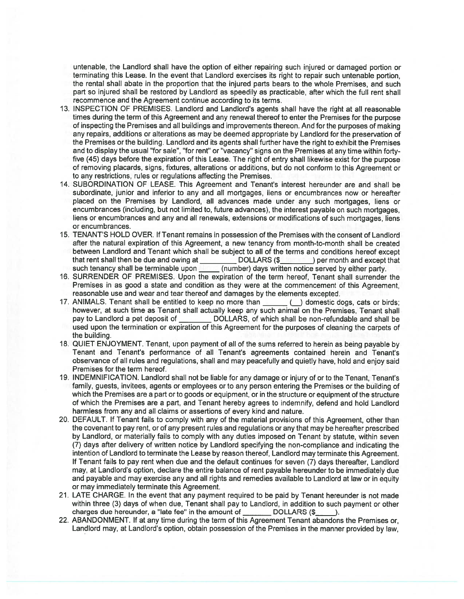untenable, the Landlord shall have the option of either repairing such injured or damaged portion or terminating this Lease. In the event that Landlord exercises its right to repair such untenable portion, the rental shall abate in the proportion that the injured parts bears to the whole Premises, and such part so injured shall be restored by Landlord as speedily as practicable, after which the full tent shall recommence and the Agreement continue according to its terms.

- 13. INSPECTION OF PREMISES. Landlord and Landlord's agents shall have the right at all reasonable times during the term of this Agreement and any renewal thereof to enter the Premises for the purpose of inspecting the Premises and all buildings and improvements thereon. And for the purposes of making any repairs, additions or alterations as may be deemed appropriate by Landlord for the preservation of the Premises or the building. Landlord and its agents shall further have the right to exhibit the Premises and to display the usual "for sale', "for rent" or "vacancy" signs on the Premises at any time within fortyfive (45) days before the expiration of this Lease. The right of entry shall likewise exist for the purpose of removing placards, signs, fixtures, alterations or additions, but do not conform to this Agreement or to any restrictions, rules or regulations affecting the Premises.
- 14. SUBORDINATION OF LEASE. This Agreement and Tenant's interest hereunder are and shall be subordinate, junior and inferior to any and all mortgages, liens or encumbrances now or hereafter placed on the Premises by Landlord, all advances made under any such mortgages, liens or encumbrances (including, but not limited to, future advances), the interest payable on such mortgages, liens or encumbrances and any and all renewals, extensions or modifications of such mortgages, liens or encumbrances.
- 15. TENANT'S HOLD OVER. If Tenant remains in possession of the Premises with the consent of Landlord after the natural expiration of this Agreement, a new tenancy from month-to-month shall be created between Landlord and Tenant which shall be subject to all of the terms and conditions hereof except that rent shall then be due and owing at DOLLARS  $(\frac{2}{3})$  per month and except that such tenancy shall be terminable upon **eight (number)** days written notice served by either party.
- 16. SURRENDER OF PREMISES. Upon the expiration of the term hereof, Tenant shall surrender the Premises in as good a state and condition as they were at the commencement of this Agreement, reasonable use and wear and tear thereof and damages by the elements excepted.
- 17. ANIMALS. Tenant shall be entitled to keep no more than  $\Box$  ( $\Box$ ) domestic dogs, cats or birds; however, at such time as Tenant shall actually keep any such animal on the Premises, Tenant shall pay to Landlord a pet deposit of DOLLARS, of which shall be non-refundable and shall be used upon the termination or expiration of this Agreement for the purposes of cleaning the carpets of the building.
- 18. QUIET ENJOYMENT. Tenant, upon payment of all of the sums referred to herein as being payable by Tenant and Tenant's performance of all Tenant's agreements contained herein and Tenant's observance of all rules and regulations, shall and may peacefully and quietly have, hold and enjoy said Premises for the term hereof.
- 19. INDEMNIFICATION. Landlord shall not be liable for any damage or injury of or to the Tenant, Tenant's family, guests, invitees, agents or employees or to any person entering the Premises or the building of which the Premises are a part or to goods or equipment, or in the structure or equipment of the structure of which the Premises are a part, and Tenant hereby agrees to indemnify, defend and hold Landlord harmless from any and all claims or assertions of every kind and nature.
- 20. DEFAULT. If Tenant fails to comply with any of the material provisions of this Agreement, other than the covenant to pay rent, or of any present rules and regulations or any that may be hereafter prescribed by Landlord, or materially fails to comply with any duties imposed on Tenant by statute, within seven (7) days after delivery of written notice by Landlord specifying the non-compliance and indicating the intention of Landlord to terminate the Lease by reason thereof, Landlord may terminate this Agreement. If Tenant fails to pay rent when due and the default continues for seven (7) days thereafter, Landlord may, at Landlord's option, declare the entire balance of rent payable hereunder to be immediately due and payable and may exercise any and all rights and remedies available to Landlord at law or in equity or may immediately terminate this Agreement.
- 21. LATE CHARGE. In the event that any payment required to be paid by Tenant hereunder is not made within three (3) days of when due, Tenant shall pay to Landlord, in addition to such payment or other charges due hereunder, a "late fee" in the amount of  $\Box$  DOLLARS  $(\$ \_\_\_\$
- 22. ABANDONMENT. If at any time during the term of this Agreement Tenant abandons the Premises or, Landlord may, at Landlord's option, obtain possession of the Premises in the manner provided by law,